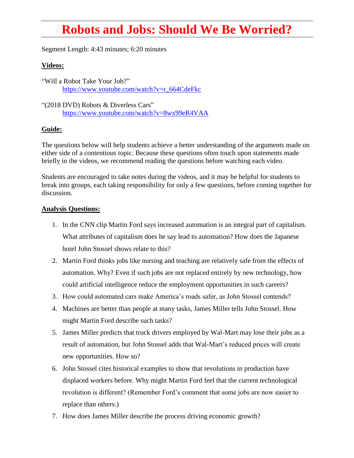## **Robots and Jobs: Should We Be Worried?**

Segment Length: 4:43 minutes; 6:20 minutes

## **Videos:**

"Will a Robot Take Your Job?" [https://www.youtube.com/watch?v=r\\_664CdeFkc](https://www.youtube.com/watch?v=r_664CdeFkc)

"(2018 DVD) Robots & Diverless Cars" <https://www.youtube.com/watch?v=8wx99eR4VAA>

## **Guide:**

The questions below will help students achieve a better understanding of the arguments made on either side of a contentious topic. Because these questions often touch upon statements made briefly in the videos, we recommend reading the questions before watching each video.

Students are encouraged to take notes during the videos, and it may be helpful for students to break into groups, each taking responsibility for only a few questions, before coming together for discussion.

## **Analysis Questions:**

- 1. In the CNN clip Martin Ford says increased automation is an integral part of capitalism. What attributes of capitalism does he say lead to automation? How does the Japanese hotel John Stossel shows relate to this?
- 2. Martin Ford thinks jobs like nursing and teaching are relatively safe from the effects of automation. Why? Even if such jobs are not replaced entirely by new technology, how could artificial intelligence reduce the employment opportunities in such careers?
- 3. How could automated cars make America's roads safer, as John Stossel contends?
- 4. Machines are better than people at many tasks, James Miller tells John Stossel. How might Martin Ford describe such tasks?
- 5. James Miller predicts that truck drivers employed by Wal-Mart may lose their jobs as a result of automation, but John Stossel adds that Wal-Mart's reduced prices will create new opportunities. How so?
- 6. John Stossel cites historical examples to show that revolutions in production have displaced workers before. Why might Martin Ford feel that the current technological revolution is different? (Remember Ford's comment that some jobs are now easier to replace than others.)
- 7. How does James Miller describe the process driving economic growth?